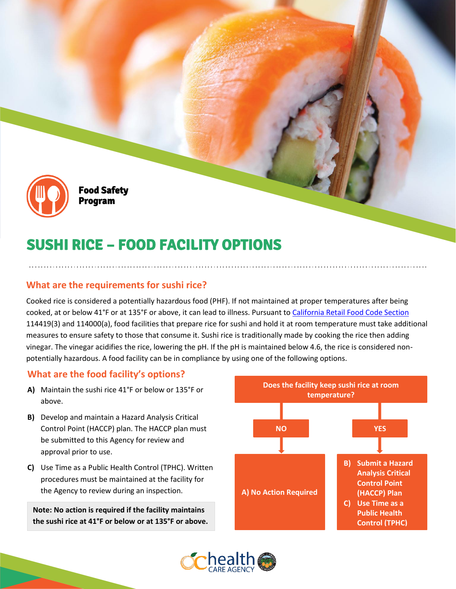

Food Safety Program

# SUSHI RICE – FOOD FACILITY OPTIONS

## **What are the requirements for sushi rice?**

Cooked rice is considered a potentially hazardous food (PHF). If not maintained at proper temperatures after being cooked, at or below 41°F or at 135°F or above, it can lead to illness. Pursuant t[o California Retail Food Code Section](https://www.ochealthinfo.com/sites/hca/files/2022-01/CalCode_book_2022_0.pdf) 114419(3) and 114000(a), food facilities that prepare rice for sushi and hold it at room temperature must take additional measures to ensure safety to those that consume it. Sushi rice is traditionally made by cooking the rice then adding vinegar. The vinegar acidifies the rice, lowering the pH. If the pH is maintained below 4.6, the rice is considered nonpotentially hazardous. A food facility can be in compliance by using one of the following options.

## **What are the food facility's options?**

- **A)** Maintain the sushi rice 41°F or below or 135°F or above.
- **B)** Develop and maintain a Hazard Analysis Critical Control Point (HACCP) plan. The HACCP plan must be submitted to this Agency for review and approval prior to use.
- **C)** Use Time as a Public Health Control (TPHC). Written procedures must be maintained at the facility for the Agency to review during an inspection.

**Note: No action is required if the facility maintains the sushi rice at 41°F or below or at 135°F or above.**